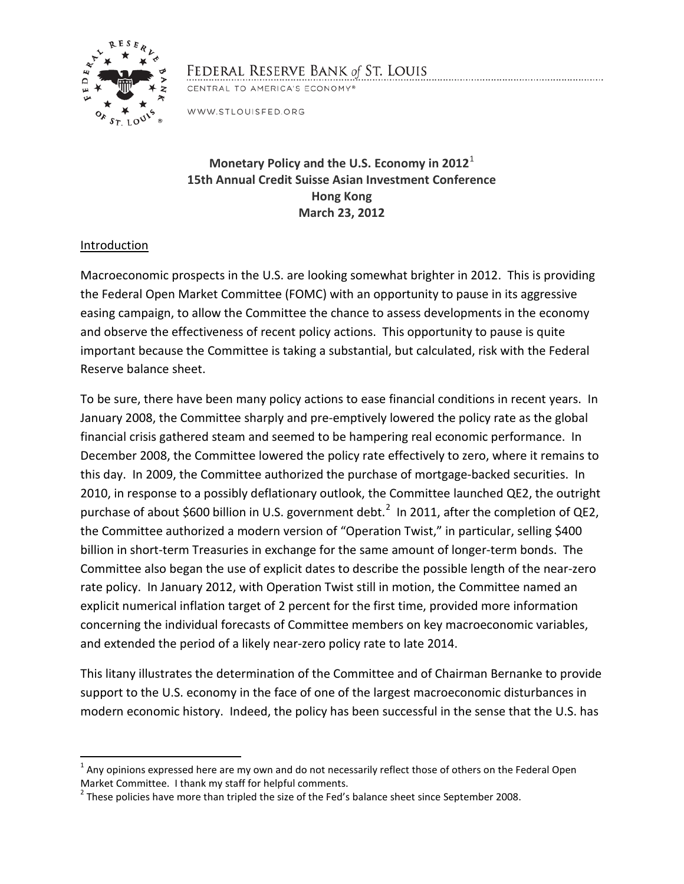

# FEDERAL RESERVE BANK of ST. LOUIS

CENTRAL TO AMERICA'S ECONOMY®

WWW.STLOUISFED.ORG

## **Monetary Policy and the U.S. Economy in 2012**[1](#page-0-0) **15th Annual Credit Suisse Asian Investment Conference Hong Kong March 23, 2012**

## Introduction

Macroeconomic prospects in the U.S. are looking somewhat brighter in 2012. This is providing the Federal Open Market Committee (FOMC) with an opportunity to pause in its aggressive easing campaign, to allow the Committee the chance to assess developments in the economy and observe the effectiveness of recent policy actions. This opportunity to pause is quite important because the Committee is taking a substantial, but calculated, risk with the Federal Reserve balance sheet.

To be sure, there have been many policy actions to ease financial conditions in recent years. In January 2008, the Committee sharply and pre-emptively lowered the policy rate as the global financial crisis gathered steam and seemed to be hampering real economic performance. In December 2008, the Committee lowered the policy rate effectively to zero, where it remains to this day. In 2009, the Committee authorized the purchase of mortgage-backed securities. In 2010, in response to a possibly deflationary outlook, the Committee launched QE2, the outright purchase of about \$600 billion in U.S. government debt.<sup>[2](#page-0-1)</sup> In 2011, after the completion of QE2, the Committee authorized a modern version of "Operation Twist," in particular, selling \$400 billion in short-term Treasuries in exchange for the same amount of longer-term bonds. The Committee also began the use of explicit dates to describe the possible length of the near-zero rate policy. In January 2012, with Operation Twist still in motion, the Committee named an explicit numerical inflation target of 2 percent for the first time, provided more information concerning the individual forecasts of Committee members on key macroeconomic variables, and extended the period of a likely near-zero policy rate to late 2014.

This litany illustrates the determination of the Committee and of Chairman Bernanke to provide support to the U.S. economy in the face of one of the largest macroeconomic disturbances in modern economic history. Indeed, the policy has been successful in the sense that the U.S. has

<span id="page-0-0"></span> $1$  Any opinions expressed here are my own and do not necessarily reflect those of others on the Federal Open Market Committee. I thank my staff for helpful comments.

<span id="page-0-1"></span> $<sup>2</sup>$  These policies have more than tripled the size of the Fed's balance sheet since September 2008.</sup>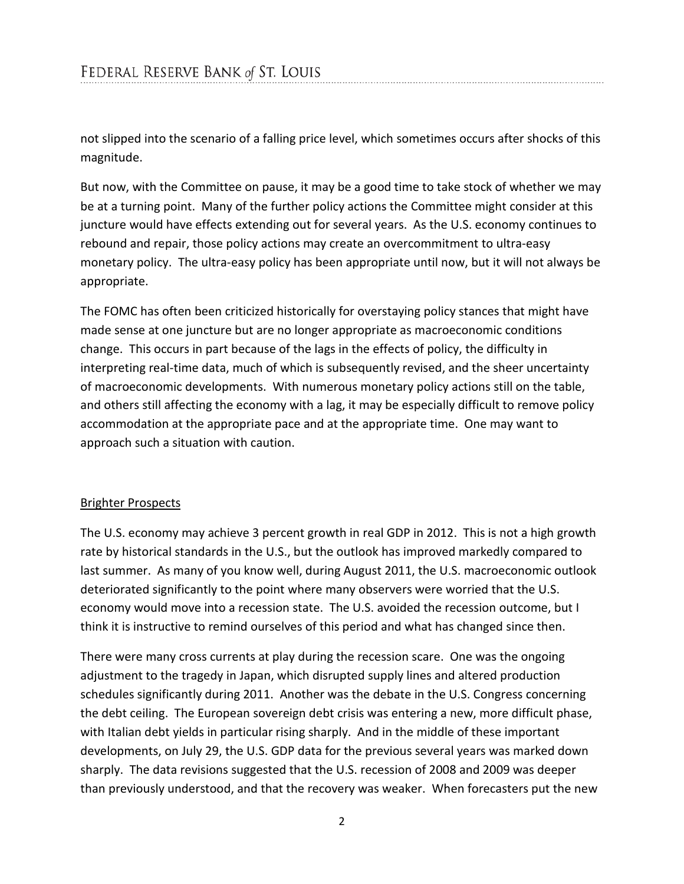not slipped into the scenario of a falling price level, which sometimes occurs after shocks of this magnitude.

But now, with the Committee on pause, it may be a good time to take stock of whether we may be at a turning point. Many of the further policy actions the Committee might consider at this juncture would have effects extending out for several years. As the U.S. economy continues to rebound and repair, those policy actions may create an overcommitment to ultra-easy monetary policy. The ultra-easy policy has been appropriate until now, but it will not always be appropriate.

The FOMC has often been criticized historically for overstaying policy stances that might have made sense at one juncture but are no longer appropriate as macroeconomic conditions change. This occurs in part because of the lags in the effects of policy, the difficulty in interpreting real-time data, much of which is subsequently revised, and the sheer uncertainty of macroeconomic developments. With numerous monetary policy actions still on the table, and others still affecting the economy with a lag, it may be especially difficult to remove policy accommodation at the appropriate pace and at the appropriate time. One may want to approach such a situation with caution.

#### Brighter Prospects

The U.S. economy may achieve 3 percent growth in real GDP in 2012. This is not a high growth rate by historical standards in the U.S., but the outlook has improved markedly compared to last summer. As many of you know well, during August 2011, the U.S. macroeconomic outlook deteriorated significantly to the point where many observers were worried that the U.S. economy would move into a recession state. The U.S. avoided the recession outcome, but I think it is instructive to remind ourselves of this period and what has changed since then.

There were many cross currents at play during the recession scare. One was the ongoing adjustment to the tragedy in Japan, which disrupted supply lines and altered production schedules significantly during 2011. Another was the debate in the U.S. Congress concerning the debt ceiling. The European sovereign debt crisis was entering a new, more difficult phase, with Italian debt yields in particular rising sharply. And in the middle of these important developments, on July 29, the U.S. GDP data for the previous several years was marked down sharply. The data revisions suggested that the U.S. recession of 2008 and 2009 was deeper than previously understood, and that the recovery was weaker. When forecasters put the new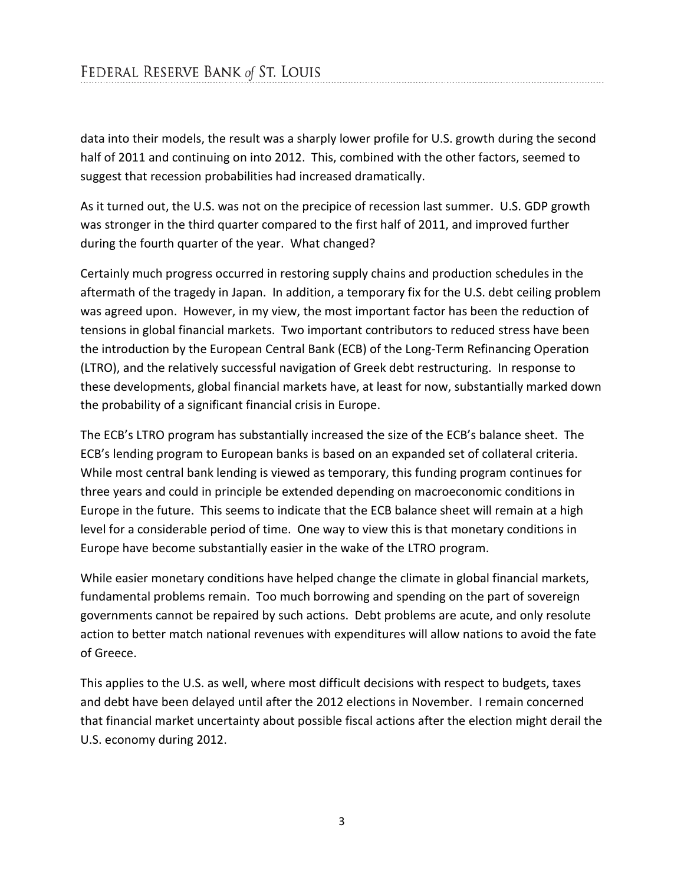data into their models, the result was a sharply lower profile for U.S. growth during the second half of 2011 and continuing on into 2012. This, combined with the other factors, seemed to suggest that recession probabilities had increased dramatically.

As it turned out, the U.S. was not on the precipice of recession last summer. U.S. GDP growth was stronger in the third quarter compared to the first half of 2011, and improved further during the fourth quarter of the year. What changed?

Certainly much progress occurred in restoring supply chains and production schedules in the aftermath of the tragedy in Japan. In addition, a temporary fix for the U.S. debt ceiling problem was agreed upon. However, in my view, the most important factor has been the reduction of tensions in global financial markets. Two important contributors to reduced stress have been the introduction by the European Central Bank (ECB) of the Long-Term Refinancing Operation (LTRO), and the relatively successful navigation of Greek debt restructuring. In response to these developments, global financial markets have, at least for now, substantially marked down the probability of a significant financial crisis in Europe.

The ECB's LTRO program has substantially increased the size of the ECB's balance sheet. The ECB's lending program to European banks is based on an expanded set of collateral criteria. While most central bank lending is viewed as temporary, this funding program continues for three years and could in principle be extended depending on macroeconomic conditions in Europe in the future. This seems to indicate that the ECB balance sheet will remain at a high level for a considerable period of time. One way to view this is that monetary conditions in Europe have become substantially easier in the wake of the LTRO program.

While easier monetary conditions have helped change the climate in global financial markets, fundamental problems remain. Too much borrowing and spending on the part of sovereign governments cannot be repaired by such actions. Debt problems are acute, and only resolute action to better match national revenues with expenditures will allow nations to avoid the fate of Greece.

This applies to the U.S. as well, where most difficult decisions with respect to budgets, taxes and debt have been delayed until after the 2012 elections in November. I remain concerned that financial market uncertainty about possible fiscal actions after the election might derail the U.S. economy during 2012.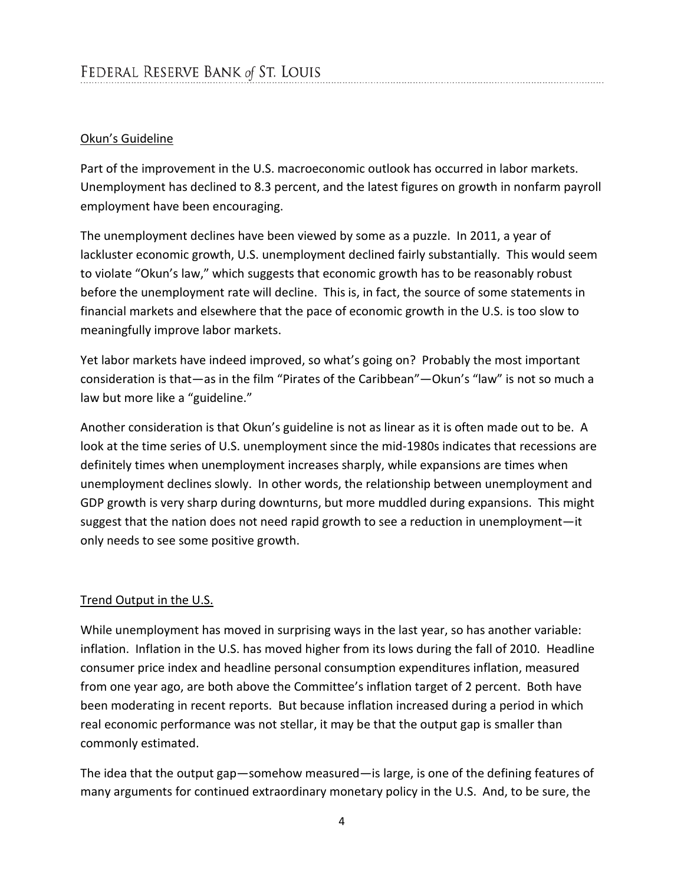## Okun's Guideline

Part of the improvement in the U.S. macroeconomic outlook has occurred in labor markets. Unemployment has declined to 8.3 percent, and the latest figures on growth in nonfarm payroll employment have been encouraging.

The unemployment declines have been viewed by some as a puzzle. In 2011, a year of lackluster economic growth, U.S. unemployment declined fairly substantially. This would seem to violate "Okun's law," which suggests that economic growth has to be reasonably robust before the unemployment rate will decline. This is, in fact, the source of some statements in financial markets and elsewhere that the pace of economic growth in the U.S. is too slow to meaningfully improve labor markets.

Yet labor markets have indeed improved, so what's going on? Probably the most important consideration is that—as in the film "Pirates of the Caribbean"—Okun's "law" is not so much a law but more like a "guideline."

Another consideration is that Okun's guideline is not as linear as it is often made out to be. A look at the time series of U.S. unemployment since the mid-1980s indicates that recessions are definitely times when unemployment increases sharply, while expansions are times when unemployment declines slowly. In other words, the relationship between unemployment and GDP growth is very sharp during downturns, but more muddled during expansions. This might suggest that the nation does not need rapid growth to see a reduction in unemployment—it only needs to see some positive growth.

## Trend Output in the U.S.

While unemployment has moved in surprising ways in the last year, so has another variable: inflation. Inflation in the U.S. has moved higher from its lows during the fall of 2010. Headline consumer price index and headline personal consumption expenditures inflation, measured from one year ago, are both above the Committee's inflation target of 2 percent. Both have been moderating in recent reports. But because inflation increased during a period in which real economic performance was not stellar, it may be that the output gap is smaller than commonly estimated.

The idea that the output gap—somehow measured—is large, is one of the defining features of many arguments for continued extraordinary monetary policy in the U.S. And, to be sure, the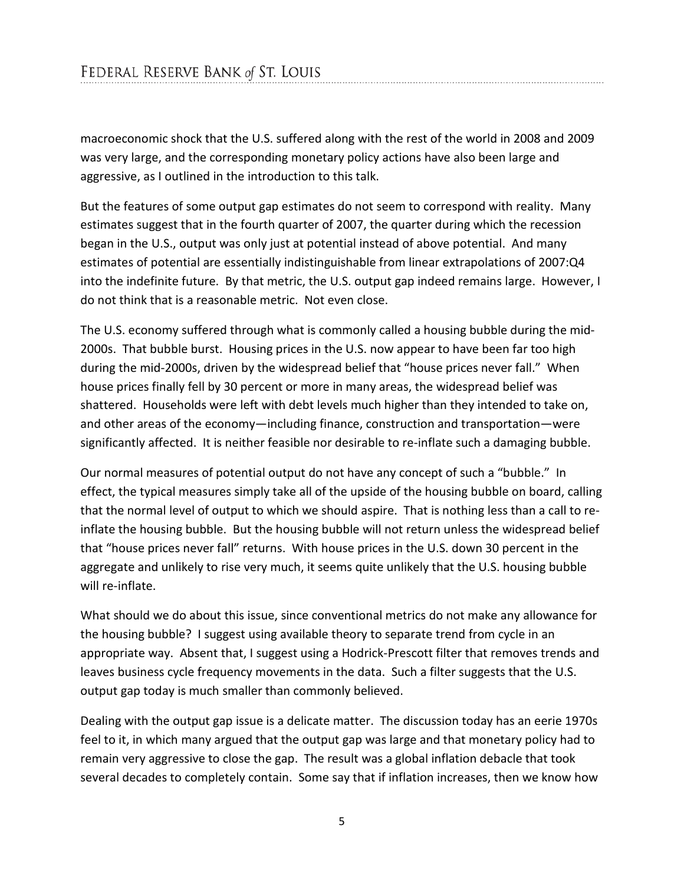macroeconomic shock that the U.S. suffered along with the rest of the world in 2008 and 2009 was very large, and the corresponding monetary policy actions have also been large and aggressive, as I outlined in the introduction to this talk.

But the features of some output gap estimates do not seem to correspond with reality. Many estimates suggest that in the fourth quarter of 2007, the quarter during which the recession began in the U.S., output was only just at potential instead of above potential. And many estimates of potential are essentially indistinguishable from linear extrapolations of 2007:Q4 into the indefinite future. By that metric, the U.S. output gap indeed remains large. However, I do not think that is a reasonable metric. Not even close.

The U.S. economy suffered through what is commonly called a housing bubble during the mid-2000s. That bubble burst. Housing prices in the U.S. now appear to have been far too high during the mid-2000s, driven by the widespread belief that "house prices never fall." When house prices finally fell by 30 percent or more in many areas, the widespread belief was shattered. Households were left with debt levels much higher than they intended to take on, and other areas of the economy—including finance, construction and transportation—were significantly affected. It is neither feasible nor desirable to re-inflate such a damaging bubble.

Our normal measures of potential output do not have any concept of such a "bubble." In effect, the typical measures simply take all of the upside of the housing bubble on board, calling that the normal level of output to which we should aspire. That is nothing less than a call to reinflate the housing bubble. But the housing bubble will not return unless the widespread belief that "house prices never fall" returns. With house prices in the U.S. down 30 percent in the aggregate and unlikely to rise very much, it seems quite unlikely that the U.S. housing bubble will re-inflate.

What should we do about this issue, since conventional metrics do not make any allowance for the housing bubble? I suggest using available theory to separate trend from cycle in an appropriate way. Absent that, I suggest using a Hodrick-Prescott filter that removes trends and leaves business cycle frequency movements in the data. Such a filter suggests that the U.S. output gap today is much smaller than commonly believed.

Dealing with the output gap issue is a delicate matter. The discussion today has an eerie 1970s feel to it, in which many argued that the output gap was large and that monetary policy had to remain very aggressive to close the gap. The result was a global inflation debacle that took several decades to completely contain. Some say that if inflation increases, then we know how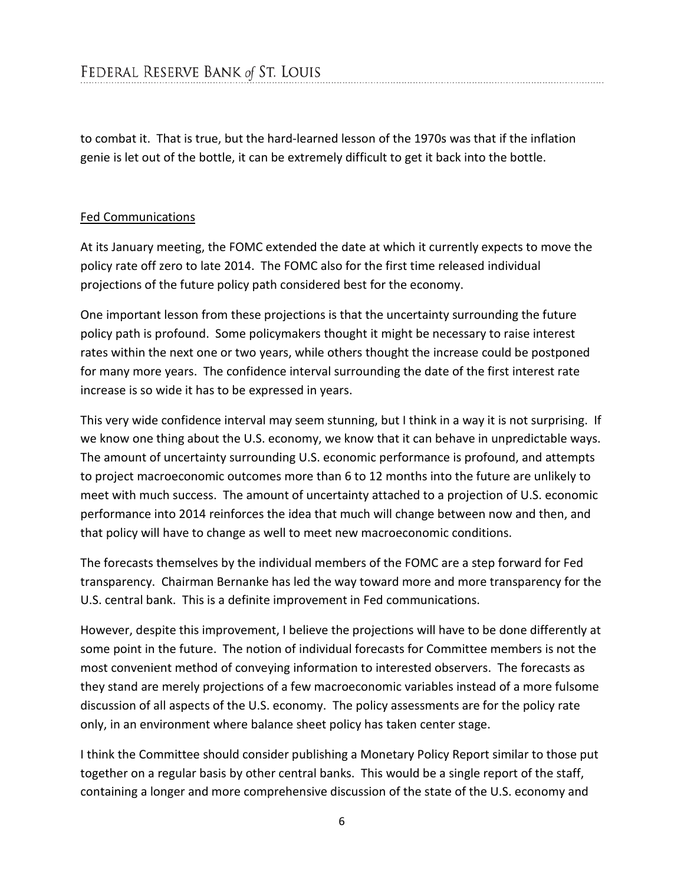to combat it. That is true, but the hard-learned lesson of the 1970s was that if the inflation genie is let out of the bottle, it can be extremely difficult to get it back into the bottle.

#### Fed Communications

At its January meeting, the FOMC extended the date at which it currently expects to move the policy rate off zero to late 2014. The FOMC also for the first time released individual projections of the future policy path considered best for the economy.

One important lesson from these projections is that the uncertainty surrounding the future policy path is profound. Some policymakers thought it might be necessary to raise interest rates within the next one or two years, while others thought the increase could be postponed for many more years. The confidence interval surrounding the date of the first interest rate increase is so wide it has to be expressed in years.

This very wide confidence interval may seem stunning, but I think in a way it is not surprising. If we know one thing about the U.S. economy, we know that it can behave in unpredictable ways. The amount of uncertainty surrounding U.S. economic performance is profound, and attempts to project macroeconomic outcomes more than 6 to 12 months into the future are unlikely to meet with much success. The amount of uncertainty attached to a projection of U.S. economic performance into 2014 reinforces the idea that much will change between now and then, and that policy will have to change as well to meet new macroeconomic conditions.

The forecasts themselves by the individual members of the FOMC are a step forward for Fed transparency. Chairman Bernanke has led the way toward more and more transparency for the U.S. central bank. This is a definite improvement in Fed communications.

However, despite this improvement, I believe the projections will have to be done differently at some point in the future. The notion of individual forecasts for Committee members is not the most convenient method of conveying information to interested observers. The forecasts as they stand are merely projections of a few macroeconomic variables instead of a more fulsome discussion of all aspects of the U.S. economy. The policy assessments are for the policy rate only, in an environment where balance sheet policy has taken center stage.

I think the Committee should consider publishing a Monetary Policy Report similar to those put together on a regular basis by other central banks. This would be a single report of the staff, containing a longer and more comprehensive discussion of the state of the U.S. economy and